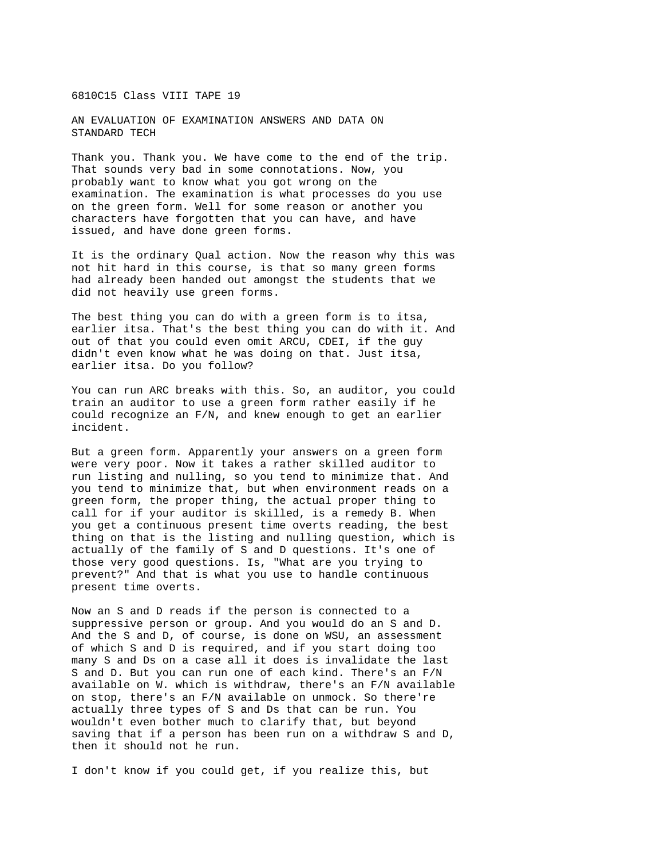## 6810C15 Class VIII TAPE 19

AN EVALUATION OF EXAMINATION ANSWERS AND DATA ON STANDARD TECH

Thank you. Thank you. We have come to the end of the trip. That sounds very bad in some connotations. Now, you probably want to know what you got wrong on the examination. The examination is what processes do you use on the green form. Well for some reason or another you characters have forgotten that you can have, and have issued, and have done green forms.

It is the ordinary Qual action. Now the reason why this was not hit hard in this course, is that so many green forms had already been handed out amongst the students that we did not heavily use green forms.

The best thing you can do with a green form is to itsa, earlier itsa. That's the best thing you can do with it. And out of that you could even omit ARCU, CDEI, if the guy didn't even know what he was doing on that. Just itsa, earlier itsa. Do you follow?

You can run ARC breaks with this. So, an auditor, you could train an auditor to use a green form rather easily if he could recognize an F/N, and knew enough to get an earlier incident.

But a green form. Apparently your answers on a green form were very poor. Now it takes a rather skilled auditor to run listing and nulling, so you tend to minimize that. And you tend to minimize that, but when environment reads on a green form, the proper thing, the actual proper thing to call for if your auditor is skilled, is a remedy B. When you get a continuous present time overts reading, the best thing on that is the listing and nulling question, which is actually of the family of S and D questions. It's one of those very good questions. Is, "What are you trying to prevent?" And that is what you use to handle continuous present time overts.

Now an S and D reads if the person is connected to a suppressive person or group. And you would do an S and D. And the S and D, of course, is done on WSU, an assessment of which S and D is required, and if you start doing too many S and Ds on a case all it does is invalidate the last S and D. But you can run one of each kind. There's an F/N available on W. which is withdraw, there's an F/N available on stop, there's an F/N available on unmock. So there're actually three types of S and Ds that can be run. You wouldn't even bother much to clarify that, but beyond saving that if a person has been run on a withdraw S and D, then it should not he run.

I don't know if you could get, if you realize this, but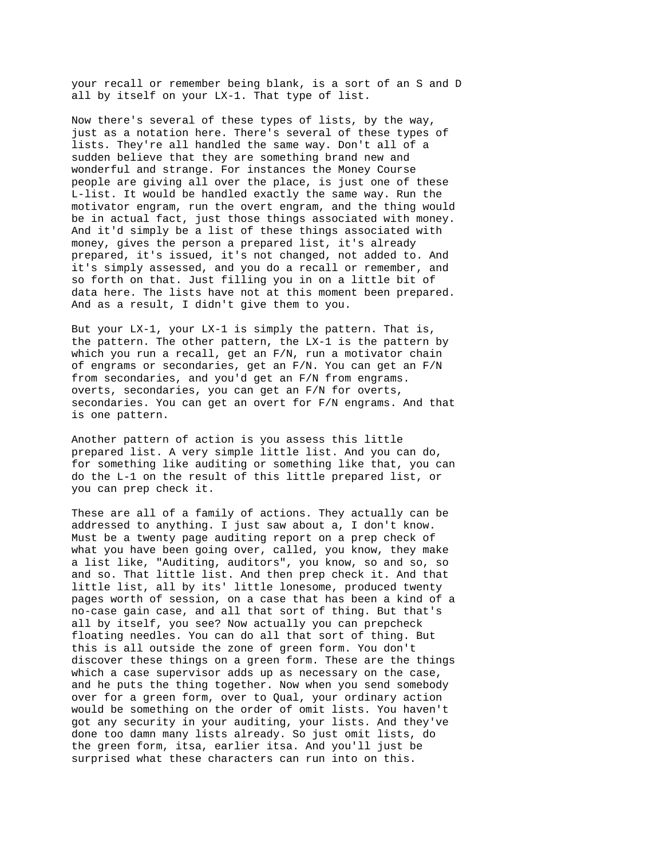your recall or remember being blank, is a sort of an S and D all by itself on your LX-1. That type of list.

Now there's several of these types of lists, by the way, just as a notation here. There's several of these types of lists. They're all handled the same way. Don't all of a sudden believe that they are something brand new and wonderful and strange. For instances the Money Course people are giving all over the place, is just one of these L-list. It would be handled exactly the same way. Run the motivator engram, run the overt engram, and the thing would be in actual fact, just those things associated with money. And it'd simply be a list of these things associated with money, gives the person a prepared list, it's already prepared, it's issued, it's not changed, not added to. And it's simply assessed, and you do a recall or remember, and so forth on that. Just filling you in on a little bit of data here. The lists have not at this moment been prepared. And as a result, I didn't give them to you.

But your LX-1, your LX-1 is simply the pattern. That is, the pattern. The other pattern, the LX-1 is the pattern by which you run a recall, get an F/N, run a motivator chain of engrams or secondaries, get an F/N. You can get an F/N from secondaries, and you'd get an F/N from engrams. overts, secondaries, you can get an F/N for overts, secondaries. You can get an overt for F/N engrams. And that is one pattern.

Another pattern of action is you assess this little prepared list. A very simple little list. And you can do, for something like auditing or something like that, you can do the L-1 on the result of this little prepared list, or you can prep check it.

These are all of a family of actions. They actually can be addressed to anything. I just saw about a, I don't know. Must be a twenty page auditing report on a prep check of what you have been going over, called, you know, they make a list like, "Auditing, auditors", you know, so and so, so and so. That little list. And then prep check it. And that little list, all by its' little lonesome, produced twenty pages worth of session, on a case that has been a kind of a no-case gain case, and all that sort of thing. But that's all by itself, you see? Now actually you can prepcheck floating needles. You can do all that sort of thing. But this is all outside the zone of green form. You don't discover these things on a green form. These are the things which a case supervisor adds up as necessary on the case, and he puts the thing together. Now when you send somebody over for a green form, over to Qual, your ordinary action would be something on the order of omit lists. You haven't got any security in your auditing, your lists. And they've done too damn many lists already. So just omit lists, do the green form, itsa, earlier itsa. And you'll just be surprised what these characters can run into on this.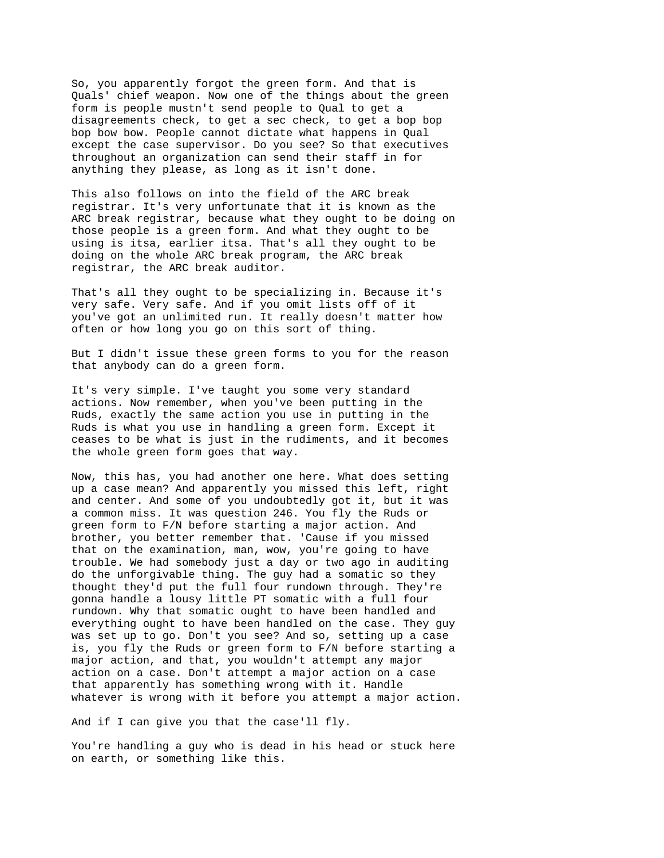So, you apparently forgot the green form. And that is Quals' chief weapon. Now one of the things about the green form is people mustn't send people to Qual to get a disagreements check, to get a sec check, to get a bop bop bop bow bow. People cannot dictate what happens in Qual except the case supervisor. Do you see? So that executives throughout an organization can send their staff in for anything they please, as long as it isn't done.

This also follows on into the field of the ARC break registrar. It's very unfortunate that it is known as the ARC break registrar, because what they ought to be doing on those people is a green form. And what they ought to be using is itsa, earlier itsa. That's all they ought to be doing on the whole ARC break program, the ARC break registrar, the ARC break auditor.

That's all they ought to be specializing in. Because it's very safe. Very safe. And if you omit lists off of it you've got an unlimited run. It really doesn't matter how often or how long you go on this sort of thing.

But I didn't issue these green forms to you for the reason that anybody can do a green form.

It's very simple. I've taught you some very standard actions. Now remember, when you've been putting in the Ruds, exactly the same action you use in putting in the Ruds is what you use in handling a green form. Except it ceases to be what is just in the rudiments, and it becomes the whole green form goes that way.

Now, this has, you had another one here. What does setting up a case mean? And apparently you missed this left, right and center. And some of you undoubtedly got it, but it was a common miss. It was question 246. You fly the Ruds or green form to F/N before starting a major action. And brother, you better remember that. 'Cause if you missed that on the examination, man, wow, you're going to have trouble. We had somebody just a day or two ago in auditing do the unforgivable thing. The guy had a somatic so they thought they'd put the full four rundown through. They're gonna handle a lousy little PT somatic with a full four rundown. Why that somatic ought to have been handled and everything ought to have been handled on the case. They guy was set up to go. Don't you see? And so, setting up a case is, you fly the Ruds or green form to F/N before starting a major action, and that, you wouldn't attempt any major action on a case. Don't attempt a major action on a case that apparently has something wrong with it. Handle whatever is wrong with it before you attempt a major action.

And if I can give you that the case'll fly.

You're handling a guy who is dead in his head or stuck here on earth, or something like this.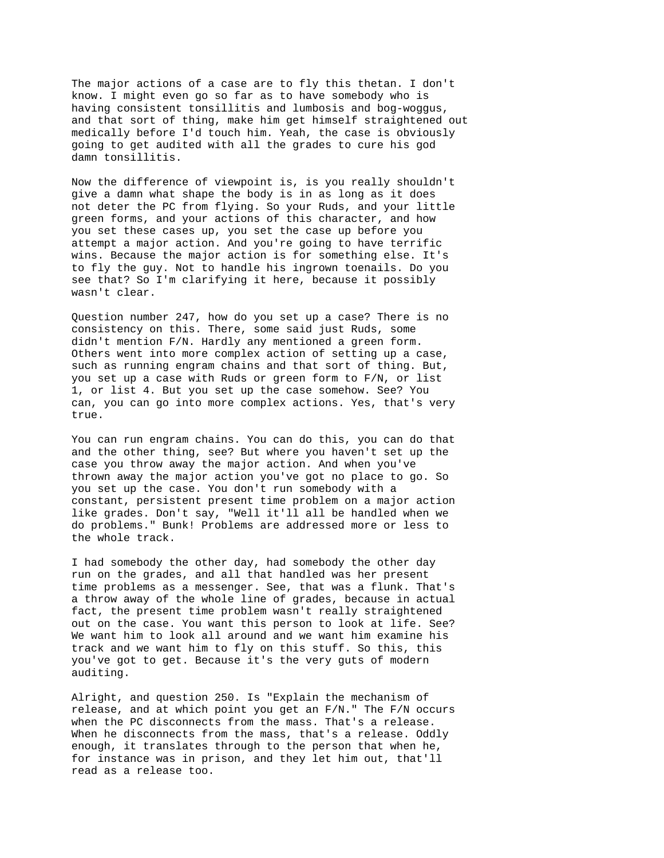The major actions of a case are to fly this thetan. I don't know. I might even go so far as to have somebody who is having consistent tonsillitis and lumbosis and bog-woggus, and that sort of thing, make him get himself straightened out medically before I'd touch him. Yeah, the case is obviously going to get audited with all the grades to cure his god damn tonsillitis.

Now the difference of viewpoint is, is you really shouldn't give a damn what shape the body is in as long as it does not deter the PC from flying. So your Ruds, and your little green forms, and your actions of this character, and how you set these cases up, you set the case up before you attempt a major action. And you're going to have terrific wins. Because the major action is for something else. It's to fly the guy. Not to handle his ingrown toenails. Do you see that? So I'm clarifying it here, because it possibly wasn't clear.

Question number 247, how do you set up a case? There is no consistency on this. There, some said just Ruds, some didn't mention F/N. Hardly any mentioned a green form. Others went into more complex action of setting up a case, such as running engram chains and that sort of thing. But, you set up a case with Ruds or green form to F/N, or list 1, or list 4. But you set up the case somehow. See? You can, you can go into more complex actions. Yes, that's very true.

You can run engram chains. You can do this, you can do that and the other thing, see? But where you haven't set up the case you throw away the major action. And when you've thrown away the major action you've got no place to go. So you set up the case. You don't run somebody with a constant, persistent present time problem on a major action like grades. Don't say, "Well it'll all be handled when we do problems." Bunk! Problems are addressed more or less to the whole track.

I had somebody the other day, had somebody the other day run on the grades, and all that handled was her present time problems as a messenger. See, that was a flunk. That's a throw away of the whole line of grades, because in actual fact, the present time problem wasn't really straightened out on the case. You want this person to look at life. See? We want him to look all around and we want him examine his track and we want him to fly on this stuff. So this, this you've got to get. Because it's the very guts of modern auditing.

Alright, and question 250. Is "Explain the mechanism of release, and at which point you get an F/N." The F/N occurs when the PC disconnects from the mass. That's a release. When he disconnects from the mass, that's a release. Oddly enough, it translates through to the person that when he, for instance was in prison, and they let him out, that'll read as a release too.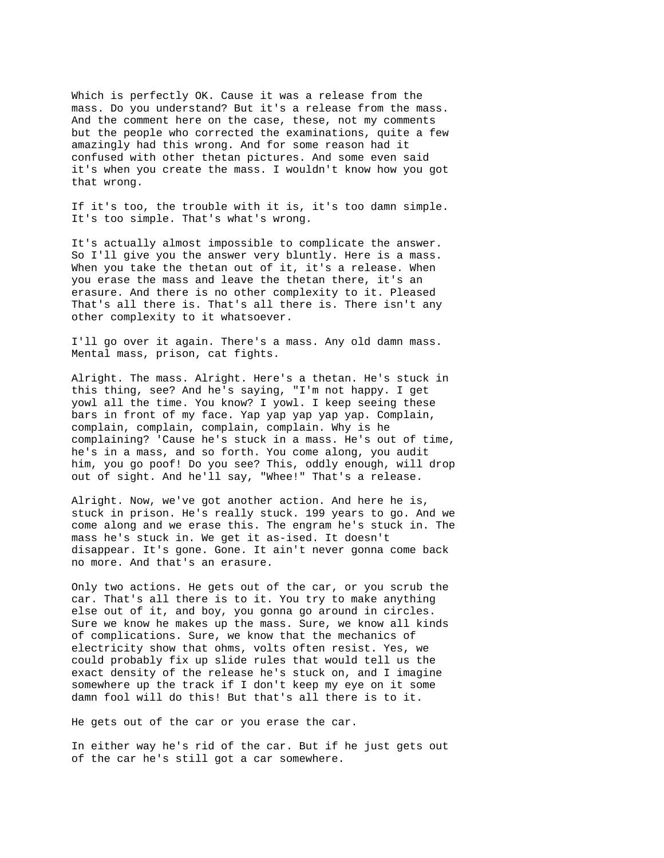Which is perfectly OK. Cause it was a release from the mass. Do you understand? But it's a release from the mass. And the comment here on the case, these, not my comments but the people who corrected the examinations, quite a few amazingly had this wrong. And for some reason had it confused with other thetan pictures. And some even said it's when you create the mass. I wouldn't know how you got that wrong.

If it's too, the trouble with it is, it's too damn simple. It's too simple. That's what's wrong.

It's actually almost impossible to complicate the answer. So I'll give you the answer very bluntly. Here is a mass. When you take the thetan out of it, it's a release. When you erase the mass and leave the thetan there, it's an erasure. And there is no other complexity to it. Pleased That's all there is. That's all there is. There isn't any other complexity to it whatsoever.

I'll go over it again. There's a mass. Any old damn mass. Mental mass, prison, cat fights.

Alright. The mass. Alright. Here's a thetan. He's stuck in this thing, see? And he's saying, "I'm not happy. I get yowl all the time. You know? I yowl. I keep seeing these bars in front of my face. Yap yap yap yap yap. Complain, complain, complain, complain, complain. Why is he complaining? 'Cause he's stuck in a mass. He's out of time, he's in a mass, and so forth. You come along, you audit him, you go poof! Do you see? This, oddly enough, will drop out of sight. And he'll say, "Whee!" That's a release.

Alright. Now, we've got another action. And here he is, stuck in prison. He's really stuck. 199 years to go. And we come along and we erase this. The engram he's stuck in. The mass he's stuck in. We get it as-ised. It doesn't disappear. It's gone. Gone. It ain't never gonna come back no more. And that's an erasure.

Only two actions. He gets out of the car, or you scrub the car. That's all there is to it. You try to make anything else out of it, and boy, you gonna go around in circles. Sure we know he makes up the mass. Sure, we know all kinds of complications. Sure, we know that the mechanics of electricity show that ohms, volts often resist. Yes, we could probably fix up slide rules that would tell us the exact density of the release he's stuck on, and I imagine somewhere up the track if I don't keep my eye on it some damn fool will do this! But that's all there is to it.

He gets out of the car or you erase the car.

In either way he's rid of the car. But if he just gets out of the car he's still got a car somewhere.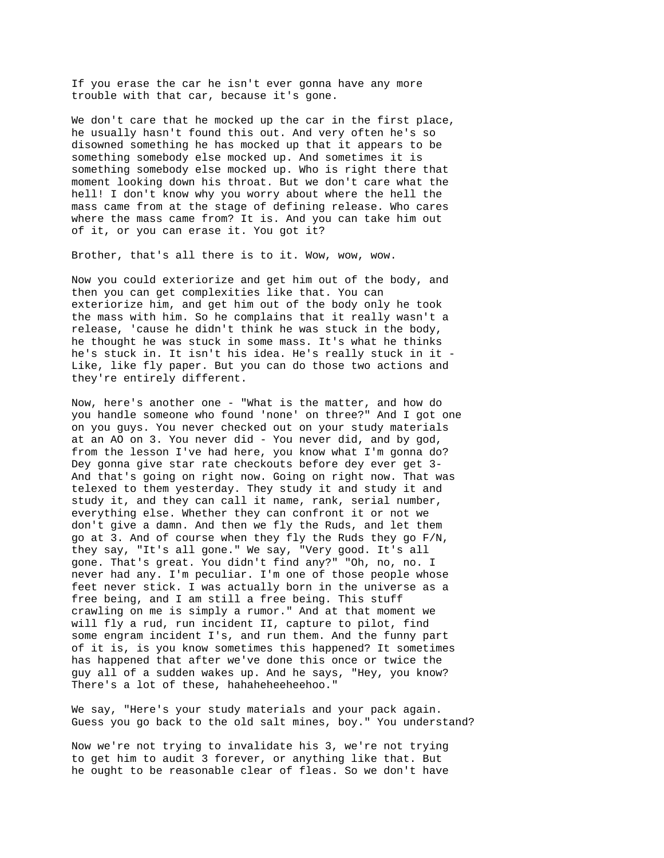If you erase the car he isn't ever gonna have any more trouble with that car, because it's gone.

We don't care that he mocked up the car in the first place, he usually hasn't found this out. And very often he's so disowned something he has mocked up that it appears to be something somebody else mocked up. And sometimes it is something somebody else mocked up. Who is right there that moment looking down his throat. But we don't care what the hell! I don't know why you worry about where the hell the mass came from at the stage of defining release. Who cares where the mass came from? It is. And you can take him out of it, or you can erase it. You got it?

Brother, that's all there is to it. Wow, wow, wow.

Now you could exteriorize and get him out of the body, and then you can get complexities like that. You can exteriorize him, and get him out of the body only he took the mass with him. So he complains that it really wasn't a release, 'cause he didn't think he was stuck in the body, he thought he was stuck in some mass. It's what he thinks he's stuck in. It isn't his idea. He's really stuck in it - Like, like fly paper. But you can do those two actions and they're entirely different.

Now, here's another one - "What is the matter, and how do you handle someone who found 'none' on three?" And I got one on you guys. You never checked out on your study materials at an AO on 3. You never did - You never did, and by god, from the lesson I've had here, you know what I'm gonna do? Dey gonna give star rate checkouts before dey ever get 3- And that's going on right now. Going on right now. That was telexed to them yesterday. They study it and study it and study it, and they can call it name, rank, serial number, everything else. Whether they can confront it or not we don't give a damn. And then we fly the Ruds, and let them go at 3. And of course when they fly the Ruds they go F/N, they say, "It's all gone." We say, "Very good. It's all gone. That's great. You didn't find any?" "Oh, no, no. I never had any. I'm peculiar. I'm one of those people whose feet never stick. I was actually born in the universe as a free being, and I am still a free being. This stuff crawling on me is simply a rumor." And at that moment we will fly a rud, run incident II, capture to pilot, find some engram incident I's, and run them. And the funny part of it is, is you know sometimes this happened? It sometimes has happened that after we've done this once or twice the guy all of a sudden wakes up. And he says, "Hey, you know? There's a lot of these, hahaheheeheehoo."

We say, "Here's your study materials and your pack again. Guess you go back to the old salt mines, boy." You understand?

Now we're not trying to invalidate his 3, we're not trying to get him to audit 3 forever, or anything like that. But he ought to be reasonable clear of fleas. So we don't have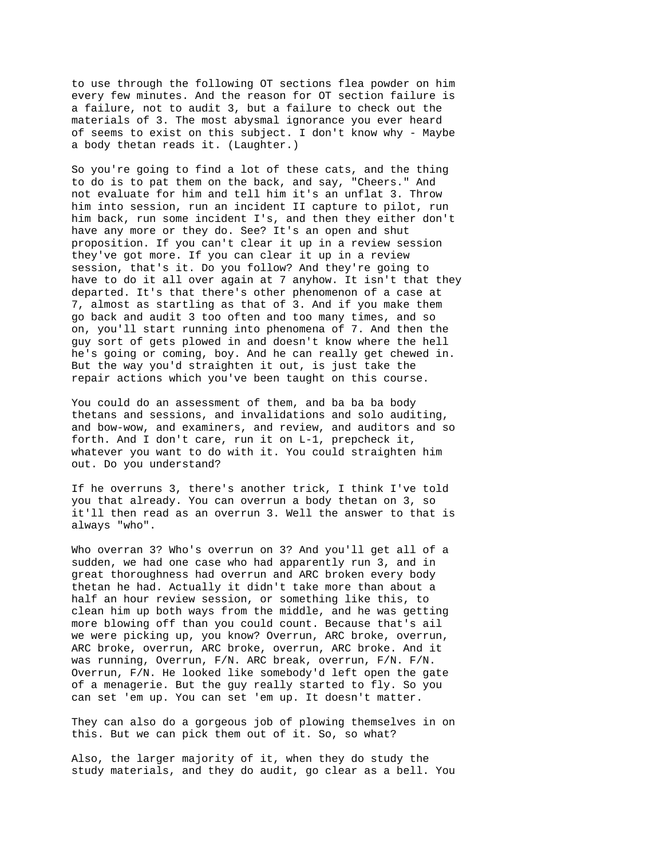to use through the following OT sections flea powder on him every few minutes. And the reason for OT section failure is a failure, not to audit 3, but a failure to check out the materials of 3. The most abysmal ignorance you ever heard of seems to exist on this subject. I don't know why - Maybe a body thetan reads it. (Laughter.)

So you're going to find a lot of these cats, and the thing to do is to pat them on the back, and say, "Cheers." And not evaluate for him and tell him it's an unflat 3. Throw him into session, run an incident II capture to pilot, run him back, run some incident I's, and then they either don't have any more or they do. See? It's an open and shut proposition. If you can't clear it up in a review session they've got more. If you can clear it up in a review session, that's it. Do you follow? And they're going to have to do it all over again at 7 anyhow. It isn't that they departed. It's that there's other phenomenon of a case at 7, almost as startling as that of 3. And if you make them go back and audit 3 too often and too many times, and so on, you'll start running into phenomena of 7. And then the guy sort of gets plowed in and doesn't know where the hell he's going or coming, boy. And he can really get chewed in. But the way you'd straighten it out, is just take the repair actions which you've been taught on this course.

You could do an assessment of them, and ba ba ba body thetans and sessions, and invalidations and solo auditing, and bow-wow, and examiners, and review, and auditors and so forth. And I don't care, run it on L-1, prepcheck it, whatever you want to do with it. You could straighten him out. Do you understand?

If he overruns 3, there's another trick, I think I've told you that already. You can overrun a body thetan on 3, so it'll then read as an overrun 3. Well the answer to that is always "who".

Who overran 3? Who's overrun on 3? And you'll get all of a sudden, we had one case who had apparently run 3, and in great thoroughness had overrun and ARC broken every body thetan he had. Actually it didn't take more than about a half an hour review session, or something like this, to clean him up both ways from the middle, and he was getting more blowing off than you could count. Because that's ail we were picking up, you know? Overrun, ARC broke, overrun, ARC broke, overrun, ARC broke, overrun, ARC broke. And it was running, Overrun, F/N. ARC break, overrun, F/N. F/N. Overrun, F/N. He looked like somebody'd left open the gate of a menagerie. But the guy really started to fly. So you can set 'em up. You can set 'em up. It doesn't matter.

They can also do a gorgeous job of plowing themselves in on this. But we can pick them out of it. So, so what?

Also, the larger majority of it, when they do study the study materials, and they do audit, go clear as a bell. You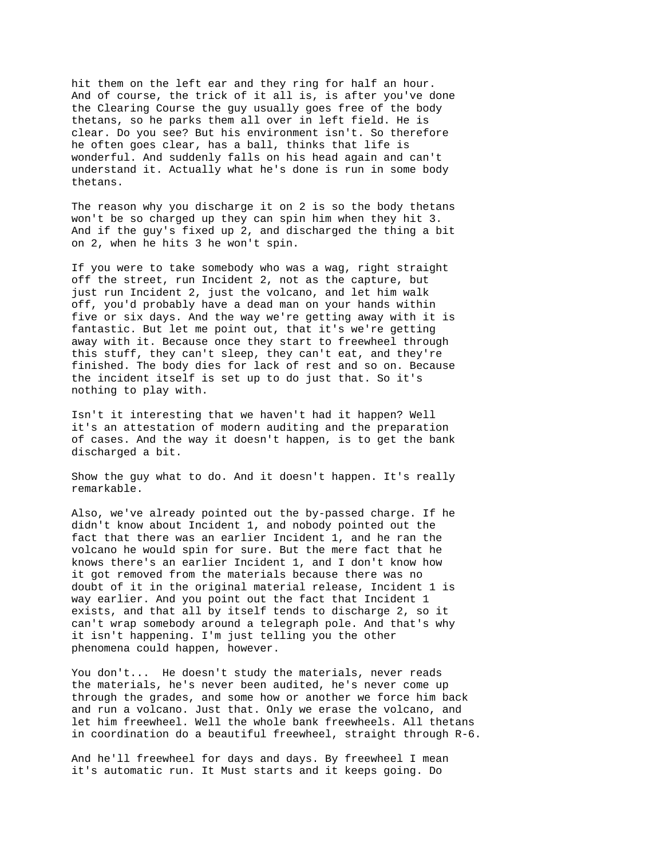hit them on the left ear and they ring for half an hour. And of course, the trick of it all is, is after you've done the Clearing Course the guy usually goes free of the body thetans, so he parks them all over in left field. He is clear. Do you see? But his environment isn't. So therefore he often goes clear, has a ball, thinks that life is wonderful. And suddenly falls on his head again and can't understand it. Actually what he's done is run in some body thetans.

The reason why you discharge it on 2 is so the body thetans won't be so charged up they can spin him when they hit 3. And if the guy's fixed up 2, and discharged the thing a bit on 2, when he hits 3 he won't spin.

If you were to take somebody who was a wag, right straight off the street, run Incident 2, not as the capture, but just run Incident 2, just the volcano, and let him walk off, you'd probably have a dead man on your hands within five or six days. And the way we're getting away with it is fantastic. But let me point out, that it's we're getting away with it. Because once they start to freewheel through this stuff, they can't sleep, they can't eat, and they're finished. The body dies for lack of rest and so on. Because the incident itself is set up to do just that. So it's nothing to play with.

Isn't it interesting that we haven't had it happen? Well it's an attestation of modern auditing and the preparation of cases. And the way it doesn't happen, is to get the bank discharged a bit.

Show the guy what to do. And it doesn't happen. It's really remarkable.

Also, we've already pointed out the by-passed charge. If he didn't know about Incident 1, and nobody pointed out the fact that there was an earlier Incident 1, and he ran the volcano he would spin for sure. But the mere fact that he knows there's an earlier Incident 1, and I don't know how it got removed from the materials because there was no doubt of it in the original material release, Incident 1 is way earlier. And you point out the fact that Incident 1 exists, and that all by itself tends to discharge 2, so it can't wrap somebody around a telegraph pole. And that's why it isn't happening. I'm just telling you the other phenomena could happen, however.

You don't... He doesn't study the materials, never reads the materials, he's never been audited, he's never come up through the grades, and some how or another we force him back and run a volcano. Just that. Only we erase the volcano, and let him freewheel. Well the whole bank freewheels. All thetans in coordination do a beautiful freewheel, straight through R-6.

And he'll freewheel for days and days. By freewheel I mean it's automatic run. It Must starts and it keeps going. Do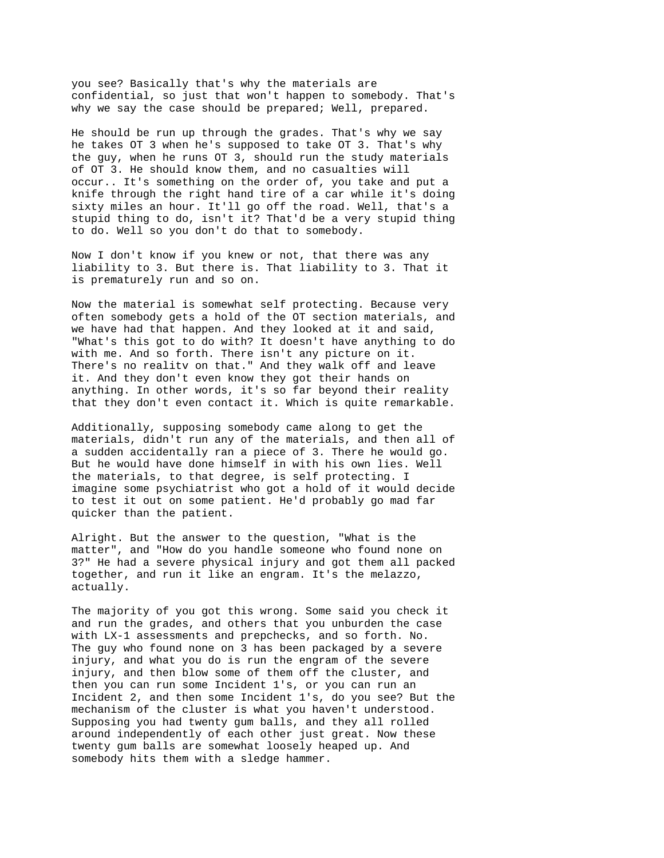you see? Basically that's why the materials are confidential, so just that won't happen to somebody. That's why we say the case should be prepared; Well, prepared.

He should be run up through the grades. That's why we say he takes OT 3 when he's supposed to take OT 3. That's why the guy, when he runs OT 3, should run the study materials of OT 3. He should know them, and no casualties will occur.. It's something on the order of, you take and put a knife through the right hand tire of a car while it's doing sixty miles an hour. It'll go off the road. Well, that's a stupid thing to do, isn't it? That'd be a very stupid thing to do. Well so you don't do that to somebody.

Now I don't know if you knew or not, that there was any liability to 3. But there is. That liability to 3. That it is prematurely run and so on.

Now the material is somewhat self protecting. Because very often somebody gets a hold of the OT section materials, and we have had that happen. And they looked at it and said, "What's this got to do with? It doesn't have anything to do with me. And so forth. There isn't any picture on it. There's no realitv on that." And they walk off and leave it. And they don't even know they got their hands on anything. In other words, it's so far beyond their reality that they don't even contact it. Which is quite remarkable.

Additionally, supposing somebody came along to get the materials, didn't run any of the materials, and then all of a sudden accidentally ran a piece of 3. There he would go. But he would have done himself in with his own lies. Well the materials, to that degree, is self protecting. I imagine some psychiatrist who got a hold of it would decide to test it out on some patient. He'd probably go mad far quicker than the patient.

Alright. But the answer to the question, "What is the matter", and "How do you handle someone who found none on 3?" He had a severe physical injury and got them all packed together, and run it like an engram. It's the melazzo, actually.

The majority of you got this wrong. Some said you check it and run the grades, and others that you unburden the case with LX-1 assessments and prepchecks, and so forth. No. The guy who found none on 3 has been packaged by a severe injury, and what you do is run the engram of the severe injury, and then blow some of them off the cluster, and then you can run some Incident 1's, or you can run an Incident 2, and then some Incident 1's, do you see? But the mechanism of the cluster is what you haven't understood. Supposing you had twenty gum balls, and they all rolled around independently of each other just great. Now these twenty gum balls are somewhat loosely heaped up. And somebody hits them with a sledge hammer.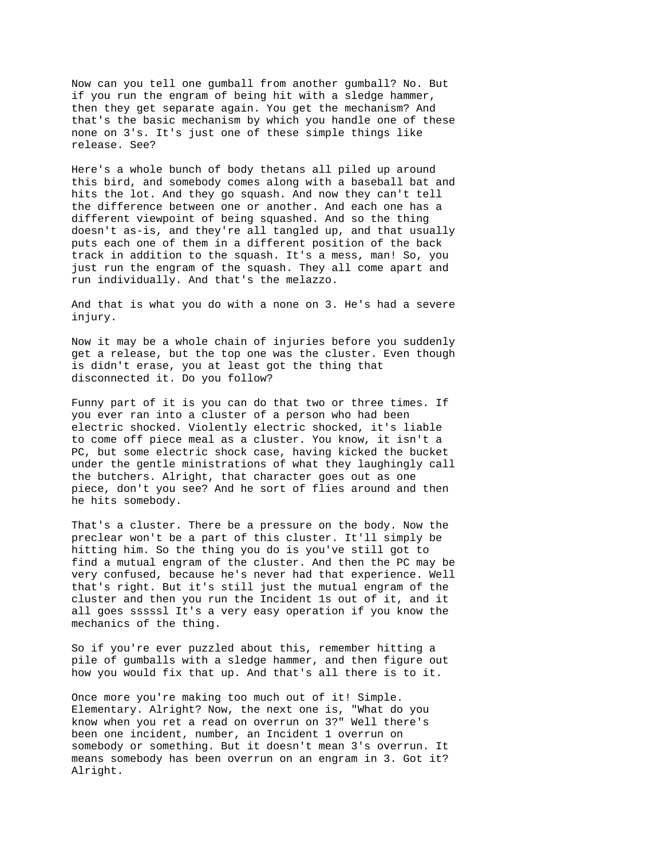Now can you tell one gumball from another gumball? No. But if you run the engram of being hit with a sledge hammer, then they get separate again. You get the mechanism? And that's the basic mechanism by which you handle one of these none on 3's. It's just one of these simple things like release. See?

Here's a whole bunch of body thetans all piled up around this bird, and somebody comes along with a baseball bat and hits the lot. And they go squash. And now they can't tell the difference between one or another. And each one has a different viewpoint of being squashed. And so the thing doesn't as-is, and they're all tangled up, and that usually puts each one of them in a different position of the back track in addition to the squash. It's a mess, man! So, you just run the engram of the squash. They all come apart and run individually. And that's the melazzo.

And that is what you do with a none on 3. He's had a severe injury.

Now it may be a whole chain of injuries before you suddenly get a release, but the top one was the cluster. Even though is didn't erase, you at least got the thing that disconnected it. Do you follow?

Funny part of it is you can do that two or three times. If you ever ran into a cluster of a person who had been electric shocked. Violently electric shocked, it's liable to come off piece meal as a cluster. You know, it isn't a PC, but some electric shock case, having kicked the bucket under the gentle ministrations of what they laughingly call the butchers. Alright, that character goes out as one piece, don't you see? And he sort of flies around and then he hits somebody.

That's a cluster. There be a pressure on the body. Now the preclear won't be a part of this cluster. It'll simply be hitting him. So the thing you do is you've still got to find a mutual engram of the cluster. And then the PC may be very confused, because he's never had that experience. Well that's right. But it's still just the mutual engram of the cluster and then you run the Incident 1s out of it, and it all goes sssssl It's a very easy operation if you know the mechanics of the thing.

So if you're ever puzzled about this, remember hitting a pile of gumballs with a sledge hammer, and then figure out how you would fix that up. And that's all there is to it.

Once more you're making too much out of it! Simple. Elementary. Alright? Now, the next one is, "What do you know when you ret a read on overrun on 3?" Well there's been one incident, number, an Incident 1 overrun on somebody or something. But it doesn't mean 3's overrun. It means somebody has been overrun on an engram in 3. Got it? Alright.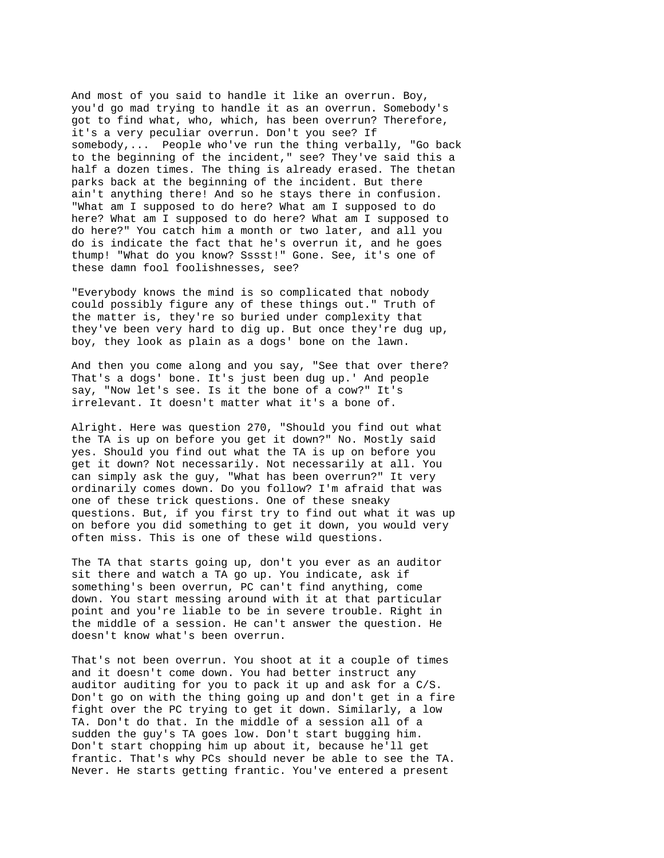And most of you said to handle it like an overrun. Boy, you'd go mad trying to handle it as an overrun. Somebody's got to find what, who, which, has been overrun? Therefore, it's a very peculiar overrun. Don't you see? If somebody,... People who've run the thing verbally, "Go back to the beginning of the incident," see? They've said this a half a dozen times. The thing is already erased. The thetan parks back at the beginning of the incident. But there ain't anything there! And so he stays there in confusion. "What am I supposed to do here? What am I supposed to do here? What am I supposed to do here? What am I supposed to do here?" You catch him a month or two later, and all you do is indicate the fact that he's overrun it, and he goes thump! "What do you know? Sssst!" Gone. See, it's one of these damn fool foolishnesses, see?

"Everybody knows the mind is so complicated that nobody could possibly figure any of these things out." Truth of the matter is, they're so buried under complexity that they've been very hard to dig up. But once they're dug up, boy, they look as plain as a dogs' bone on the lawn.

And then you come along and you say, "See that over there? That's a dogs' bone. It's just been dug up.' And people say, "Now let's see. Is it the bone of a cow?" It's irrelevant. It doesn't matter what it's a bone of.

Alright. Here was question 270, "Should you find out what the TA is up on before you get it down?" No. Mostly said yes. Should you find out what the TA is up on before you get it down? Not necessarily. Not necessarily at all. You can simply ask the guy, "What has been overrun?" It very ordinarily comes down. Do you follow? I'm afraid that was one of these trick questions. One of these sneaky questions. But, if you first try to find out what it was up on before you did something to get it down, you would very often miss. This is one of these wild questions.

The TA that starts going up, don't you ever as an auditor sit there and watch a TA go up. You indicate, ask if something's been overrun, PC can't find anything, come down. You start messing around with it at that particular point and you're liable to be in severe trouble. Right in the middle of a session. He can't answer the question. He doesn't know what's been overrun.

That's not been overrun. You shoot at it a couple of times and it doesn't come down. You had better instruct any auditor auditing for you to pack it up and ask for a C/S. Don't go on with the thing going up and don't get in a fire fight over the PC trying to get it down. Similarly, a low TA. Don't do that. In the middle of a session all of a sudden the guy's TA goes low. Don't start bugging him. Don't start chopping him up about it, because he'll get frantic. That's why PCs should never be able to see the TA. Never. He starts getting frantic. You've entered a present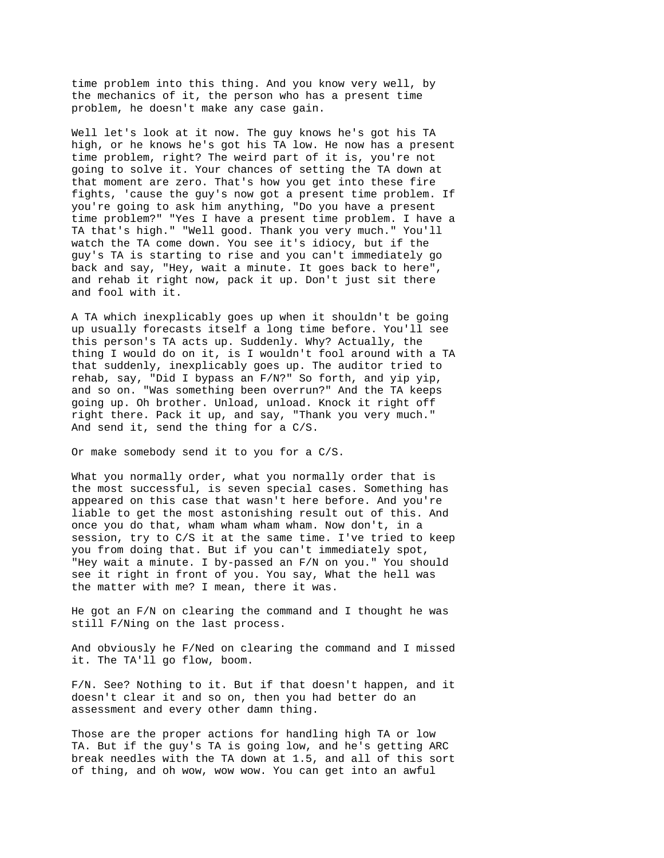time problem into this thing. And you know very well, by the mechanics of it, the person who has a present time problem, he doesn't make any case gain.

Well let's look at it now. The guy knows he's got his TA high, or he knows he's got his TA low. He now has a present time problem, right? The weird part of it is, you're not going to solve it. Your chances of setting the TA down at that moment are zero. That's how you get into these fire fights, 'cause the guy's now got a present time problem. If you're going to ask him anything, "Do you have a present time problem?" "Yes I have a present time problem. I have a TA that's high." "Well good. Thank you very much." You'll watch the TA come down. You see it's idiocy, but if the guy's TA is starting to rise and you can't immediately go back and say, "Hey, wait a minute. It goes back to here", and rehab it right now, pack it up. Don't just sit there and fool with it.

A TA which inexplicably goes up when it shouldn't be going up usually forecasts itself a long time before. You'll see this person's TA acts up. Suddenly. Why? Actually, the thing I would do on it, is I wouldn't fool around with a TA that suddenly, inexplicably goes up. The auditor tried to rehab, say, "Did I bypass an F/N?" So forth, and yip yip, and so on. "Was something been overrun?" And the TA keeps going up. Oh brother. Unload, unload. Knock it right off right there. Pack it up, and say, "Thank you very much." And send it, send the thing for a C/S.

Or make somebody send it to you for a C/S.

What you normally order, what you normally order that is the most successful, is seven special cases. Something has appeared on this case that wasn't here before. And you're liable to get the most astonishing result out of this. And once you do that, wham wham wham wham. Now don't, in a session, try to C/S it at the same time. I've tried to keep you from doing that. But if you can't immediately spot, "Hey wait a minute. I by-passed an F/N on you." You should see it right in front of you. You say, What the hell was the matter with me? I mean, there it was.

He got an  $F/N$  on clearing the command and I thought he was still F/Ning on the last process.

And obviously he F/Ned on clearing the command and I missed it. The TA'll go flow, boom.

F/N. See? Nothing to it. But if that doesn't happen, and it doesn't clear it and so on, then you had better do an assessment and every other damn thing.

Those are the proper actions for handling high TA or low TA. But if the guy's TA is going low, and he's getting ARC break needles with the TA down at 1.5, and all of this sort of thing, and oh wow, wow wow. You can get into an awful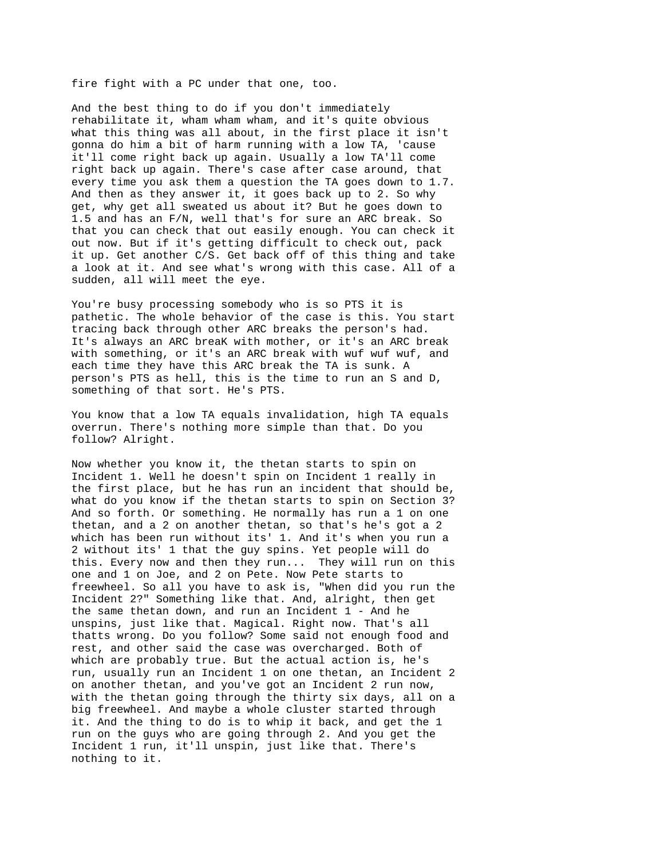fire fight with a PC under that one, too.

And the best thing to do if you don't immediately rehabilitate it, wham wham wham, and it's quite obvious what this thing was all about, in the first place it isn't gonna do him a bit of harm running with a low TA, 'cause it'll come right back up again. Usually a low TA'll come right back up again. There's case after case around, that every time you ask them a question the TA goes down to 1.7. And then as they answer it, it goes back up to 2. So why get, why get all sweated us about it? But he goes down to 1.5 and has an F/N, well that's for sure an ARC break. So that you can check that out easily enough. You can check it out now. But if it's getting difficult to check out, pack it up. Get another C/S. Get back off of this thing and take a look at it. And see what's wrong with this case. All of a sudden, all will meet the eye.

You're busy processing somebody who is so PTS it is pathetic. The whole behavior of the case is this. You start tracing back through other ARC breaks the person's had. It's always an ARC breaK with mother, or it's an ARC break with something, or it's an ARC break with wuf wuf wuf, and each time they have this ARC break the TA is sunk. A person's PTS as hell, this is the time to run an S and D, something of that sort. He's PTS.

You know that a low TA equals invalidation, high TA equals overrun. There's nothing more simple than that. Do you follow? Alright.

Now whether you know it, the thetan starts to spin on Incident 1. Well he doesn't spin on Incident 1 really in the first place, but he has run an incident that should be, what do you know if the thetan starts to spin on Section 3? And so forth. Or something. He normally has run a 1 on one thetan, and a 2 on another thetan, so that's he's got a 2 which has been run without its' 1. And it's when you run a 2 without its' 1 that the guy spins. Yet people will do this. Every now and then they run... They will run on this one and 1 on Joe, and 2 on Pete. Now Pete starts to freewheel. So all you have to ask is, "When did you run the Incident 2?" Something like that. And, alright, then get the same thetan down, and run an Incident 1 - And he unspins, just like that. Magical. Right now. That's all thatts wrong. Do you follow? Some said not enough food and rest, and other said the case was overcharged. Both of which are probably true. But the actual action is, he's run, usually run an Incident 1 on one thetan, an Incident 2 on another thetan, and you've got an Incident 2 run now, with the thetan going through the thirty six days, all on a big freewheel. And maybe a whole cluster started through it. And the thing to do is to whip it back, and get the 1 run on the guys who are going through 2. And you get the Incident 1 run, it'll unspin, just like that. There's nothing to it.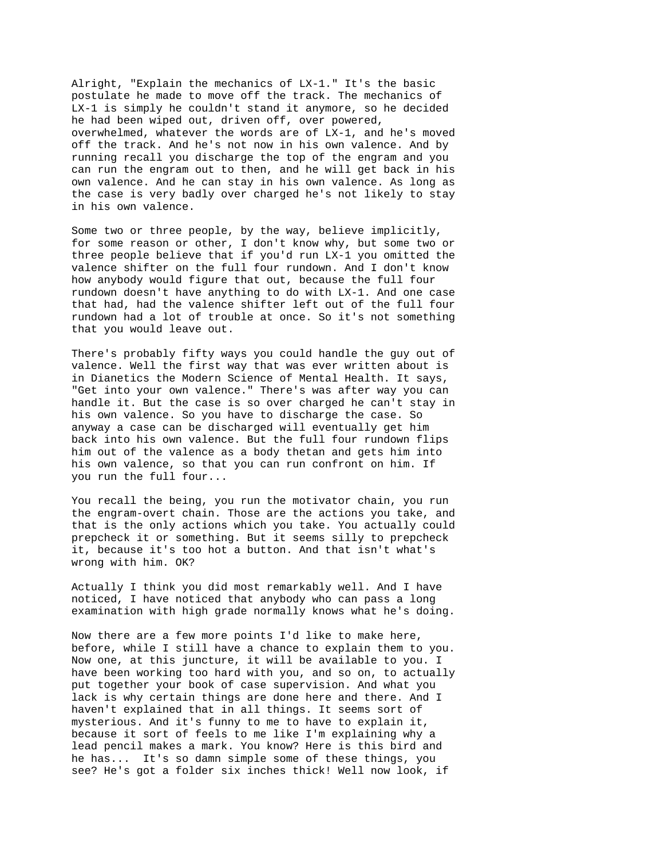Alright, "Explain the mechanics of LX-1." It's the basic postulate he made to move off the track. The mechanics of LX-1 is simply he couldn't stand it anymore, so he decided he had been wiped out, driven off, over powered, overwhelmed, whatever the words are of LX-1, and he's moved off the track. And he's not now in his own valence. And by running recall you discharge the top of the engram and you can run the engram out to then, and he will get back in his own valence. And he can stay in his own valence. As long as the case is very badly over charged he's not likely to stay in his own valence.

Some two or three people, by the way, believe implicitly, for some reason or other, I don't know why, but some two or three people believe that if you'd run LX-1 you omitted the valence shifter on the full four rundown. And I don't know how anybody would figure that out, because the full four rundown doesn't have anything to do with LX-1. And one case that had, had the valence shifter left out of the full four rundown had a lot of trouble at once. So it's not something that you would leave out.

There's probably fifty ways you could handle the guy out of valence. Well the first way that was ever written about is in Dianetics the Modern Science of Mental Health. It says, "Get into your own valence." There's was after way you can handle it. But the case is so over charged he can't stay in his own valence. So you have to discharge the case. So anyway a case can be discharged will eventually get him back into his own valence. But the full four rundown flips him out of the valence as a body thetan and gets him into his own valence, so that you can run confront on him. If you run the full four...

You recall the being, you run the motivator chain, you run the engram-overt chain. Those are the actions you take, and that is the only actions which you take. You actually could prepcheck it or something. But it seems silly to prepcheck it, because it's too hot a button. And that isn't what's wrong with him. OK?

Actually I think you did most remarkably well. And I have noticed, I have noticed that anybody who can pass a long examination with high grade normally knows what he's doing.

Now there are a few more points I'd like to make here, before, while I still have a chance to explain them to you. Now one, at this juncture, it will be available to you. I have been working too hard with you, and so on, to actually put together your book of case supervision. And what you lack is why certain things are done here and there. And I haven't explained that in all things. It seems sort of mysterious. And it's funny to me to have to explain it, because it sort of feels to me like I'm explaining why a lead pencil makes a mark. You know? Here is this bird and he has... It's so damn simple some of these things, you see? He's got a folder six inches thick! Well now look, if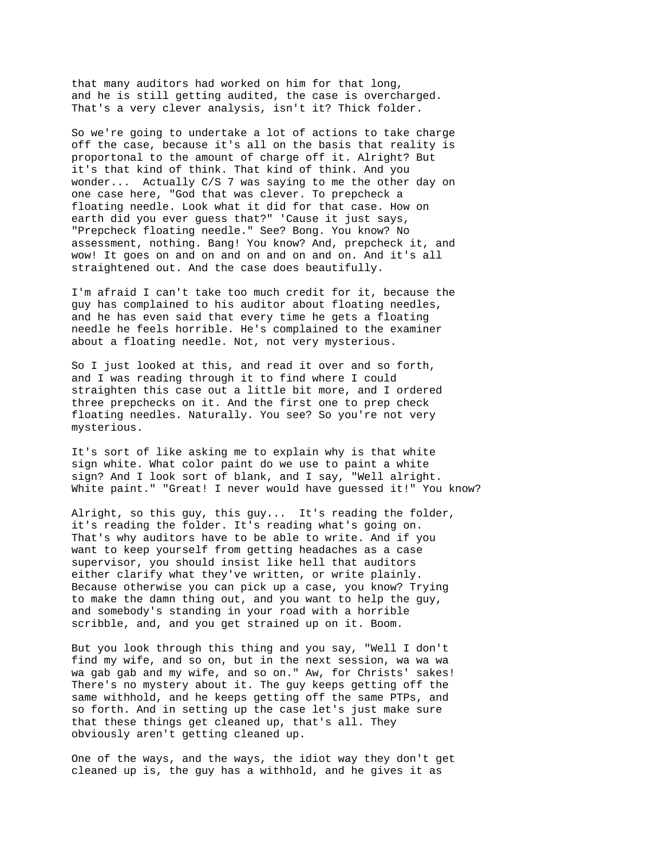that many auditors had worked on him for that long, and he is still getting audited, the case is overcharged. That's a very clever analysis, isn't it? Thick folder.

So we're going to undertake a lot of actions to take charge off the case, because it's all on the basis that reality is proportonal to the amount of charge off it. Alright? But it's that kind of think. That kind of think. And you wonder... Actually C/S 7 was saying to me the other day on one case here, "God that was clever. To prepcheck a floating needle. Look what it did for that case. How on earth did you ever guess that?" 'Cause it just says, "Prepcheck floating needle." See? Bong. You know? No assessment, nothing. Bang! You know? And, prepcheck it, and wow! It goes on and on and on and on and on. And it's all straightened out. And the case does beautifully.

I'm afraid I can't take too much credit for it, because the guy has complained to his auditor about floating needles, and he has even said that every time he gets a floating needle he feels horrible. He's complained to the examiner about a floating needle. Not, not very mysterious.

So I just looked at this, and read it over and so forth, and I was reading through it to find where I could straighten this case out a little bit more, and I ordered three prepchecks on it. And the first one to prep check floating needles. Naturally. You see? So you're not very mysterious.

It's sort of like asking me to explain why is that white sign white. What color paint do we use to paint a white sign? And I look sort of blank, and I say, "Well alright. White paint." "Great! I never would have guessed it!" You know?

Alright, so this guy, this guy... It's reading the folder, it's reading the folder. It's reading what's going on. That's why auditors have to be able to write. And if you want to keep yourself from getting headaches as a case supervisor, you should insist like hell that auditors either clarify what they've written, or write plainly. Because otherwise you can pick up a case, you know? Trying to make the damn thing out, and you want to help the guy, and somebody's standing in your road with a horrible scribble, and, and you get strained up on it. Boom.

But you look through this thing and you say, "Well I don't find my wife, and so on, but in the next session, wa wa wa wa gab gab and my wife, and so on." Aw, for Christs' sakes! There's no mystery about it. The guy keeps getting off the same withhold, and he keeps getting off the same PTPs, and so forth. And in setting up the case let's just make sure that these things get cleaned up, that's all. They obviously aren't getting cleaned up.

One of the ways, and the ways, the idiot way they don't get cleaned up is, the guy has a withhold, and he gives it as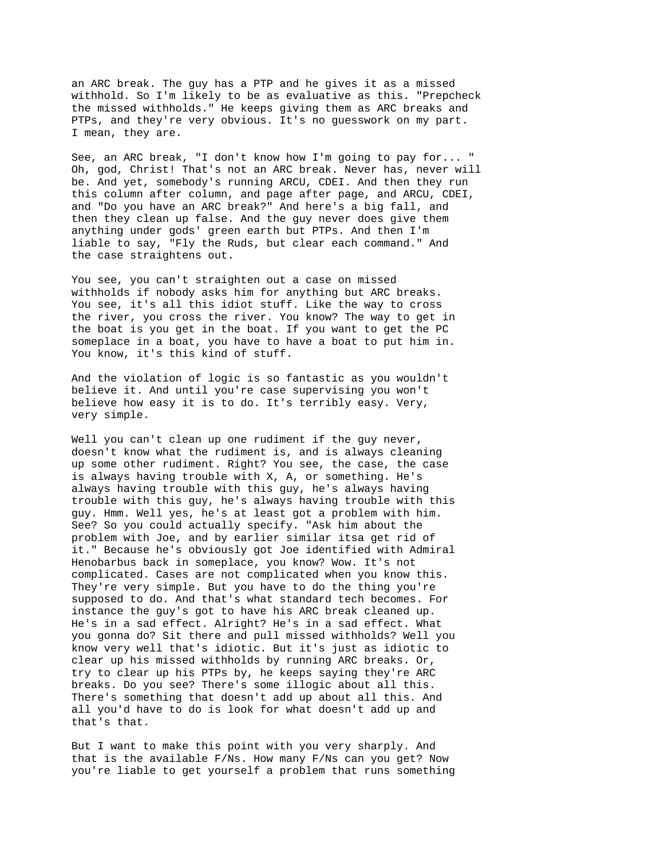an ARC break. The guy has a PTP and he gives it as a missed withhold. So I'm likely to be as evaluative as this. "Prepcheck the missed withholds." He keeps giving them as ARC breaks and PTPs, and they're very obvious. It's no guesswork on my part. I mean, they are.

See, an ARC break, "I don't know how I'm going to pay for... " Oh, god, Christ! That's not an ARC break. Never has, never will be. And yet, somebody's running ARCU, CDEI. And then they run this column after column, and page after page, and ARCU, CDEI, and "Do you have an ARC break?" And here's a big fall, and then they clean up false. And the guy never does give them anything under gods' green earth but PTPs. And then I'm liable to say, "Fly the Ruds, but clear each command." And the case straightens out.

You see, you can't straighten out a case on missed withholds if nobody asks him for anything but ARC breaks. You see, it's all this idiot stuff. Like the way to cross the river, you cross the river. You know? The way to get in the boat is you get in the boat. If you want to get the PC someplace in a boat, you have to have a boat to put him in. You know, it's this kind of stuff.

And the violation of logic is so fantastic as you wouldn't believe it. And until you're case supervising you won't believe how easy it is to do. It's terribly easy. Very, very simple.

Well you can't clean up one rudiment if the guy never, doesn't know what the rudiment is, and is always cleaning up some other rudiment. Right? You see, the case, the case is always having trouble with X, A, or something. He's always having trouble with this guy, he's always having trouble with this guy, he's always having trouble with this guy. Hmm. Well yes, he's at least got a problem with him. See? So you could actually specify. "Ask him about the problem with Joe, and by earlier similar itsa get rid of it." Because he's obviously got Joe identified with Admiral Henobarbus back in someplace, you know? Wow. It's not complicated. Cases are not complicated when you know this. They're very simple. But you have to do the thing you're supposed to do. And that's what standard tech becomes. For instance the guy's got to have his ARC break cleaned up. He's in a sad effect. Alright? He's in a sad effect. What you gonna do? Sit there and pull missed withholds? Well you know very well that's idiotic. But it's just as idiotic to clear up his missed withholds by running ARC breaks. Or, try to clear up his PTPs by, he keeps saying they're ARC breaks. Do you see? There's some illogic about all this. There's something that doesn't add up about all this. And all you'd have to do is look for what doesn't add up and that's that.

But I want to make this point with you very sharply. And that is the available F/Ns. How many F/Ns can you get? Now you're liable to get yourself a problem that runs something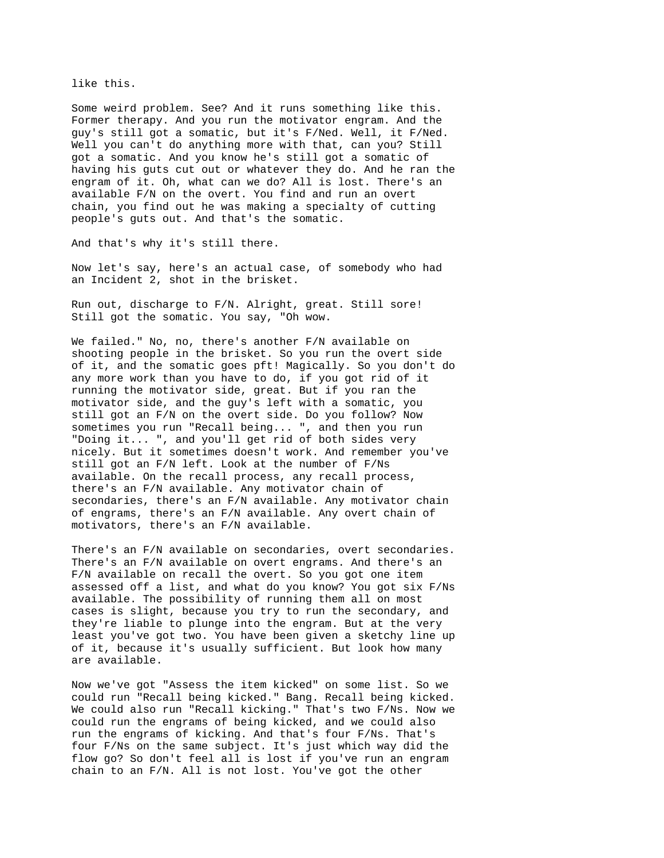like this.

Some weird problem. See? And it runs something like this. Former therapy. And you run the motivator engram. And the guy's still got a somatic, but it's F/Ned. Well, it F/Ned. Well you can't do anything more with that, can you? Still got a somatic. And you know he's still got a somatic of having his guts cut out or whatever they do. And he ran the engram of it. Oh, what can we do? All is lost. There's an available F/N on the overt. You find and run an overt chain, you find out he was making a specialty of cutting people's guts out. And that's the somatic.

And that's why it's still there.

Now let's say, here's an actual case, of somebody who had an Incident 2, shot in the brisket.

Run out, discharge to F/N. Alright, great. Still sore! Still got the somatic. You say, "Oh wow.

We failed." No, no, there's another F/N available on shooting people in the brisket. So you run the overt side of it, and the somatic goes pft! Magically. So you don't do any more work than you have to do, if you got rid of it running the motivator side, great. But if you ran the motivator side, and the guy's left with a somatic, you still got an F/N on the overt side. Do you follow? Now sometimes you run "Recall being... ", and then you run "Doing it... ", and you'll get rid of both sides very nicely. But it sometimes doesn't work. And remember you've still got an F/N left. Look at the number of F/Ns available. On the recall process, any recall process, there's an F/N available. Any motivator chain of secondaries, there's an F/N available. Any motivator chain of engrams, there's an F/N available. Any overt chain of motivators, there's an F/N available.

There's an F/N available on secondaries, overt secondaries. There's an F/N available on overt engrams. And there's an F/N available on recall the overt. So you got one item assessed off a list, and what do you know? You got six F/Ns available. The possibility of running them all on most cases is slight, because you try to run the secondary, and they're liable to plunge into the engram. But at the very least you've got two. You have been given a sketchy line up of it, because it's usually sufficient. But look how many are available.

Now we've got "Assess the item kicked" on some list. So we could run "Recall being kicked." Bang. Recall being kicked. We could also run "Recall kicking." That's two F/Ns. Now we could run the engrams of being kicked, and we could also run the engrams of kicking. And that's four F/Ns. That's four F/Ns on the same subject. It's just which way did the flow go? So don't feel all is lost if you've run an engram chain to an F/N. All is not lost. You've got the other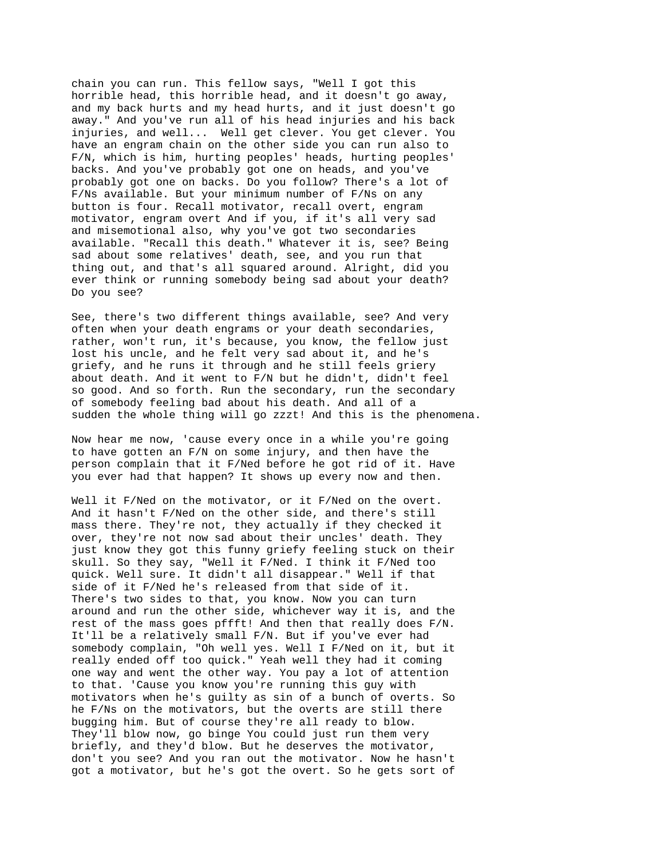chain you can run. This fellow says, "Well I got this horrible head, this horrible head, and it doesn't go away, and my back hurts and my head hurts, and it just doesn't go away." And you've run all of his head injuries and his back injuries, and well... Well get clever. You get clever. You have an engram chain on the other side you can run also to F/N, which is him, hurting peoples' heads, hurting peoples' backs. And you've probably got one on heads, and you've probably got one on backs. Do you follow? There's a lot of F/Ns available. But your minimum number of F/Ns on any button is four. Recall motivator, recall overt, engram motivator, engram overt And if you, if it's all very sad and misemotional also, why you've got two secondaries available. "Recall this death." Whatever it is, see? Being sad about some relatives' death, see, and you run that thing out, and that's all squared around. Alright, did you ever think or running somebody being sad about your death? Do you see?

See, there's two different things available, see? And very often when your death engrams or your death secondaries, rather, won't run, it's because, you know, the fellow just lost his uncle, and he felt very sad about it, and he's griefy, and he runs it through and he still feels griery about death. And it went to F/N but he didn't, didn't feel so good. And so forth. Run the secondary, run the secondary of somebody feeling bad about his death. And all of a sudden the whole thing will go zzzt! And this is the phenomena.

Now hear me now, 'cause every once in a while you're going to have gotten an F/N on some injury, and then have the person complain that it F/Ned before he got rid of it. Have you ever had that happen? It shows up every now and then.

Well it F/Ned on the motivator, or it F/Ned on the overt. And it hasn't F/Ned on the other side, and there's still mass there. They're not, they actually if they checked it over, they're not now sad about their uncles' death. They just know they got this funny griefy feeling stuck on their skull. So they say, "Well it F/Ned. I think it F/Ned too quick. Well sure. It didn't all disappear." Well if that side of it F/Ned he's released from that side of it. There's two sides to that, you know. Now you can turn around and run the other side, whichever way it is, and the rest of the mass goes pffft! And then that really does F/N. It'll be a relatively small F/N. But if you've ever had somebody complain, "Oh well yes. Well I F/Ned on it, but it really ended off too quick." Yeah well they had it coming one way and went the other way. You pay a lot of attention to that. 'Cause you know you're running this guy with motivators when he's guilty as sin of a bunch of overts. So he F/Ns on the motivators, but the overts are still there bugging him. But of course they're all ready to blow. They'll blow now, go binge You could just run them very briefly, and they'd blow. But he deserves the motivator, don't you see? And you ran out the motivator. Now he hasn't got a motivator, but he's got the overt. So he gets sort of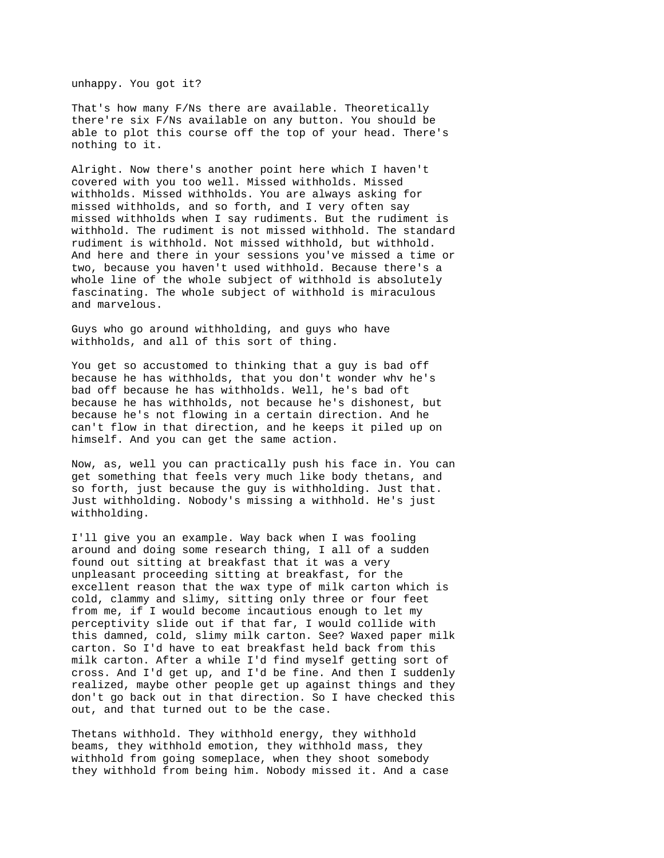unhappy. You got it?

That's how many F/Ns there are available. Theoretically there're six F/Ns available on any button. You should be able to plot this course off the top of your head. There's nothing to it.

Alright. Now there's another point here which I haven't covered with you too well. Missed withholds. Missed withholds. Missed withholds. You are always asking for missed withholds, and so forth, and I very often say missed withholds when I say rudiments. But the rudiment is withhold. The rudiment is not missed withhold. The standard rudiment is withhold. Not missed withhold, but withhold. And here and there in your sessions you've missed a time or two, because you haven't used withhold. Because there's a whole line of the whole subject of withhold is absolutely fascinating. The whole subject of withhold is miraculous and marvelous.

Guys who go around withholding, and guys who have withholds, and all of this sort of thing.

You get so accustomed to thinking that a guy is bad off because he has withholds, that you don't wonder whv he's bad off because he has withholds. Well, he's bad oft because he has withholds, not because he's dishonest, but because he's not flowing in a certain direction. And he can't flow in that direction, and he keeps it piled up on himself. And you can get the same action.

Now, as, well you can practically push his face in. You can get something that feels very much like body thetans, and so forth, just because the guy is withholding. Just that. Just withholding. Nobody's missing a withhold. He's just withholding.

I'll give you an example. Way back when I was fooling around and doing some research thing, I all of a sudden found out sitting at breakfast that it was a very unpleasant proceeding sitting at breakfast, for the excellent reason that the wax type of milk carton which is cold, clammy and slimy, sitting only three or four feet from me, if I would become incautious enough to let my perceptivity slide out if that far, I would collide with this damned, cold, slimy milk carton. See? Waxed paper milk carton. So I'd have to eat breakfast held back from this milk carton. After a while I'd find myself getting sort of cross. And I'd get up, and I'd be fine. And then I suddenly realized, maybe other people get up against things and they don't go back out in that direction. So I have checked this out, and that turned out to be the case.

Thetans withhold. They withhold energy, they withhold beams, they withhold emotion, they withhold mass, they withhold from going someplace, when they shoot somebody they withhold from being him. Nobody missed it. And a case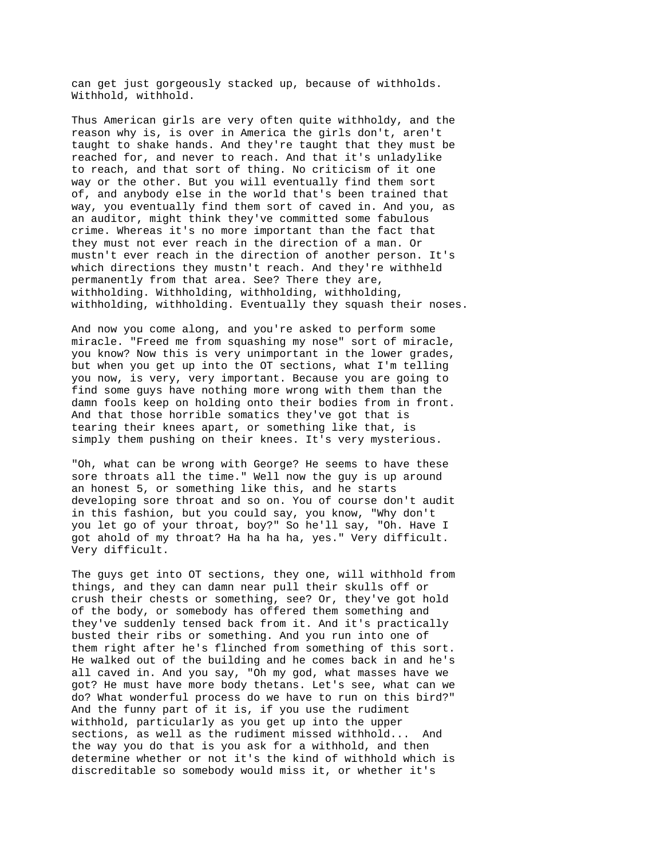can get just gorgeously stacked up, because of withholds. Withhold, withhold.

Thus American girls are very often quite withholdy, and the reason why is, is over in America the girls don't, aren't taught to shake hands. And they're taught that they must be reached for, and never to reach. And that it's unladylike to reach, and that sort of thing. No criticism of it one way or the other. But you will eventually find them sort of, and anybody else in the world that's been trained that way, you eventually find them sort of caved in. And you, as an auditor, might think they've committed some fabulous crime. Whereas it's no more important than the fact that they must not ever reach in the direction of a man. Or mustn't ever reach in the direction of another person. It's which directions they mustn't reach. And they're withheld permanently from that area. See? There they are, withholding. Withholding, withholding, withholding, withholding, withholding. Eventually they squash their noses.

And now you come along, and you're asked to perform some miracle. "Freed me from squashing my nose" sort of miracle, you know? Now this is very unimportant in the lower grades, but when you get up into the OT sections, what I'm telling you now, is very, very important. Because you are going to find some guys have nothing more wrong with them than the damn fools keep on holding onto their bodies from in front. And that those horrible somatics they've got that is tearing their knees apart, or something like that, is simply them pushing on their knees. It's very mysterious.

"Oh, what can be wrong with George? He seems to have these sore throats all the time." Well now the guy is up around an honest 5, or something like this, and he starts developing sore throat and so on. You of course don't audit in this fashion, but you could say, you know, "Why don't you let go of your throat, boy?" So he'll say, "Oh. Have I got ahold of my throat? Ha ha ha ha, yes." Very difficult. Very difficult.

The guys get into OT sections, they one, will withhold from things, and they can damn near pull their skulls off or crush their chests or something, see? Or, they've got hold of the body, or somebody has offered them something and they've suddenly tensed back from it. And it's practically busted their ribs or something. And you run into one of them right after he's flinched from something of this sort. He walked out of the building and he comes back in and he's all caved in. And you say, "Oh my god, what masses have we got? He must have more body thetans. Let's see, what can we do? What wonderful process do we have to run on this bird?" And the funny part of it is, if you use the rudiment withhold, particularly as you get up into the upper sections, as well as the rudiment missed withhold... And the way you do that is you ask for a withhold, and then determine whether or not it's the kind of withhold which is discreditable so somebody would miss it, or whether it's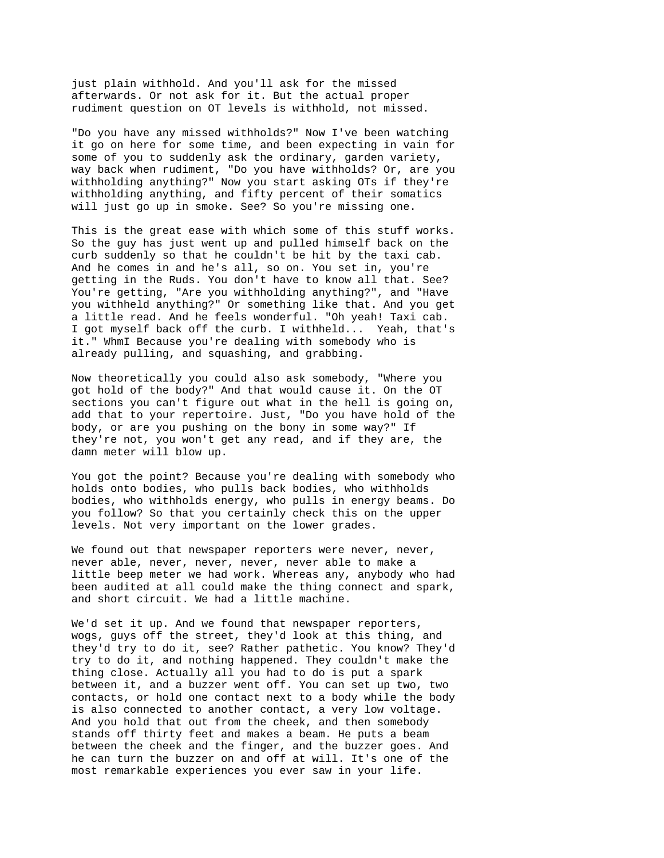just plain withhold. And you'll ask for the missed afterwards. Or not ask for it. But the actual proper rudiment question on OT levels is withhold, not missed.

"Do you have any missed withholds?" Now I've been watching it go on here for some time, and been expecting in vain for some of you to suddenly ask the ordinary, garden variety, way back when rudiment, "Do you have withholds? Or, are you withholding anything?" Now you start asking OTs if they're withholding anything, and fifty percent of their somatics will just go up in smoke. See? So you're missing one.

This is the great ease with which some of this stuff works. So the guy has just went up and pulled himself back on the curb suddenly so that he couldn't be hit by the taxi cab. And he comes in and he's all, so on. You set in, you're getting in the Ruds. You don't have to know all that. See? You're getting, "Are you withholding anything?", and "Have you withheld anything?" Or something like that. And you get a little read. And he feels wonderful. "Oh yeah! Taxi cab. I got myself back off the curb. I withheld... Yeah, that's it." WhmI Because you're dealing with somebody who is already pulling, and squashing, and grabbing.

Now theoretically you could also ask somebody, "Where you got hold of the body?" And that would cause it. On the OT sections you can't figure out what in the hell is going on, add that to your repertoire. Just, "Do you have hold of the body, or are you pushing on the bony in some way?" If they're not, you won't get any read, and if they are, the damn meter will blow up.

You got the point? Because you're dealing with somebody who holds onto bodies, who pulls back bodies, who withholds bodies, who withholds energy, who pulls in energy beams. Do you follow? So that you certainly check this on the upper levels. Not very important on the lower grades.

We found out that newspaper reporters were never, never, never able, never, never, never, never able to make a little beep meter we had work. Whereas any, anybody who had been audited at all could make the thing connect and spark, and short circuit. We had a little machine.

We'd set it up. And we found that newspaper reporters, wogs, guys off the street, they'd look at this thing, and they'd try to do it, see? Rather pathetic. You know? They'd try to do it, and nothing happened. They couldn't make the thing close. Actually all you had to do is put a spark between it, and a buzzer went off. You can set up two, two contacts, or hold one contact next to a body while the body is also connected to another contact, a very low voltage. And you hold that out from the cheek, and then somebody stands off thirty feet and makes a beam. He puts a beam between the cheek and the finger, and the buzzer goes. And he can turn the buzzer on and off at will. It's one of the most remarkable experiences you ever saw in your life.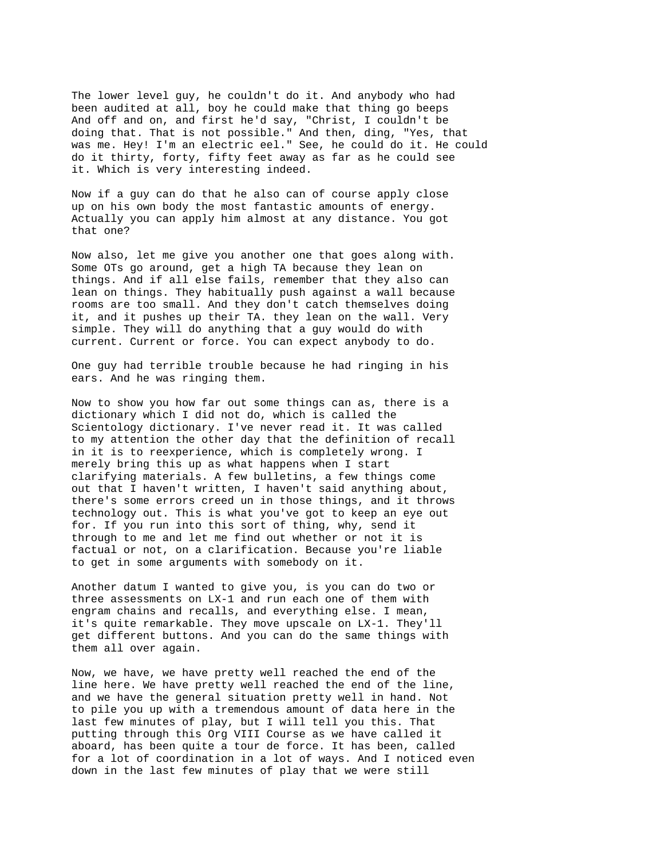The lower level guy, he couldn't do it. And anybody who had been audited at all, boy he could make that thing go beeps And off and on, and first he'd say, "Christ, I couldn't be doing that. That is not possible." And then, ding, "Yes, that was me. Hey! I'm an electric eel." See, he could do it. He could do it thirty, forty, fifty feet away as far as he could see it. Which is very interesting indeed.

Now if a guy can do that he also can of course apply close up on his own body the most fantastic amounts of energy. Actually you can apply him almost at any distance. You got that one?

Now also, let me give you another one that goes along with. Some OTs go around, get a high TA because they lean on things. And if all else fails, remember that they also can lean on things. They habitually push against a wall because rooms are too small. And they don't catch themselves doing it, and it pushes up their TA. they lean on the wall. Very simple. They will do anything that a guy would do with current. Current or force. You can expect anybody to do.

One guy had terrible trouble because he had ringing in his ears. And he was ringing them.

Now to show you how far out some things can as, there is a dictionary which I did not do, which is called the Scientology dictionary. I've never read it. It was called to my attention the other day that the definition of recall in it is to reexperience, which is completely wrong. I merely bring this up as what happens when I start clarifying materials. A few bulletins, a few things come out that I haven't written, I haven't said anything about, there's some errors creed un in those things, and it throws technology out. This is what you've got to keep an eye out for. If you run into this sort of thing, why, send it through to me and let me find out whether or not it is factual or not, on a clarification. Because you're liable to get in some arguments with somebody on it.

Another datum I wanted to give you, is you can do two or three assessments on LX-1 and run each one of them with engram chains and recalls, and everything else. I mean, it's quite remarkable. They move upscale on LX-1. They'll get different buttons. And you can do the same things with them all over again.

Now, we have, we have pretty well reached the end of the line here. We have pretty well reached the end of the line, and we have the general situation pretty well in hand. Not to pile you up with a tremendous amount of data here in the last few minutes of play, but I will tell you this. That putting through this Org VIII Course as we have called it aboard, has been quite a tour de force. It has been, called for a lot of coordination in a lot of ways. And I noticed even down in the last few minutes of play that we were still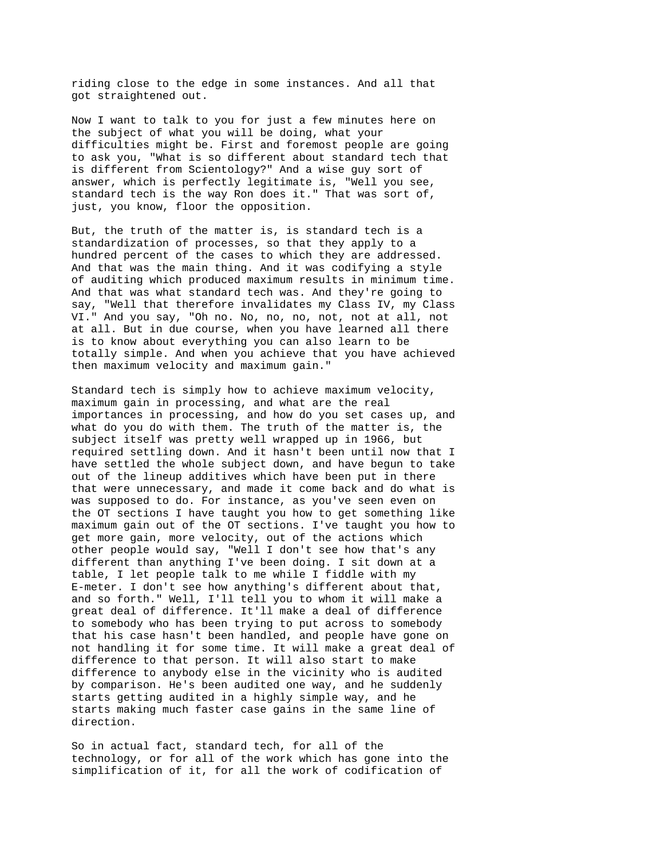riding close to the edge in some instances. And all that got straightened out.

Now I want to talk to you for just a few minutes here on the subject of what you will be doing, what your difficulties might be. First and foremost people are going to ask you, "What is so different about standard tech that is different from Scientology?" And a wise guy sort of answer, which is perfectly legitimate is, "Well you see, standard tech is the way Ron does it." That was sort of, just, you know, floor the opposition.

But, the truth of the matter is, is standard tech is a standardization of processes, so that they apply to a hundred percent of the cases to which they are addressed. And that was the main thing. And it was codifying a style of auditing which produced maximum results in minimum time. And that was what standard tech was. And they're going to say, "Well that therefore invalidates my Class IV, my Class VI." And you say, "Oh no. No, no, no, not, not at all, not at all. But in due course, when you have learned all there is to know about everything you can also learn to be totally simple. And when you achieve that you have achieved then maximum velocity and maximum gain."

Standard tech is simply how to achieve maximum velocity, maximum gain in processing, and what are the real importances in processing, and how do you set cases up, and what do you do with them. The truth of the matter is, the subject itself was pretty well wrapped up in 1966, but required settling down. And it hasn't been until now that I have settled the whole subject down, and have begun to take out of the lineup additives which have been put in there that were unnecessary, and made it come back and do what is was supposed to do. For instance, as you've seen even on the OT sections I have taught you how to get something like maximum gain out of the OT sections. I've taught you how to get more gain, more velocity, out of the actions which other people would say, "Well I don't see how that's any different than anything I've been doing. I sit down at a table, I let people talk to me while I fiddle with my E-meter. I don't see how anything's different about that, and so forth." Well, I'll tell you to whom it will make a great deal of difference. It'll make a deal of difference to somebody who has been trying to put across to somebody that his case hasn't been handled, and people have gone on not handling it for some time. It will make a great deal of difference to that person. It will also start to make difference to anybody else in the vicinity who is audited by comparison. He's been audited one way, and he suddenly starts getting audited in a highly simple way, and he starts making much faster case gains in the same line of direction.

So in actual fact, standard tech, for all of the technology, or for all of the work which has gone into the simplification of it, for all the work of codification of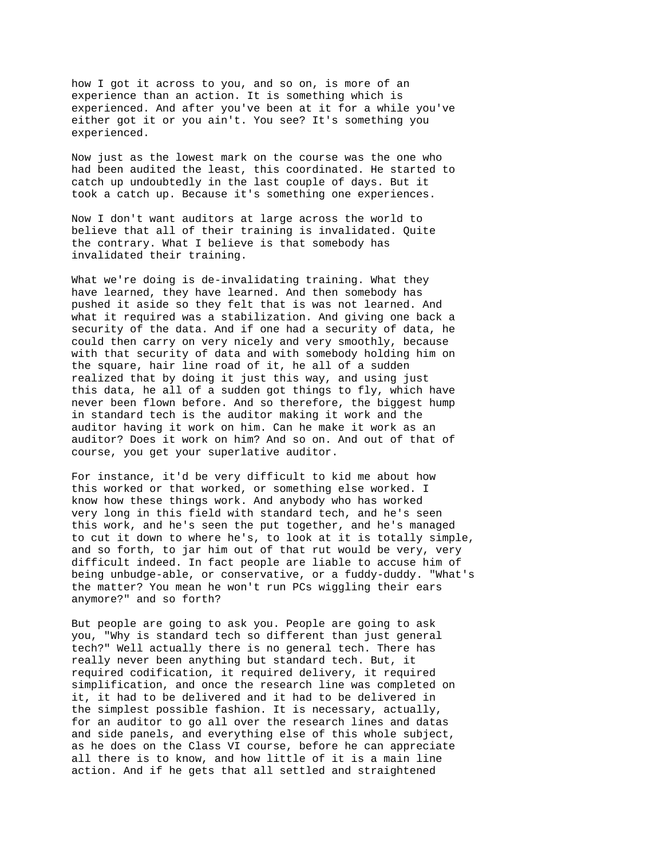how I got it across to you, and so on, is more of an experience than an action. It is something which is experienced. And after you've been at it for a while you've either got it or you ain't. You see? It's something you experienced.

Now just as the lowest mark on the course was the one who had been audited the least, this coordinated. He started to catch up undoubtedly in the last couple of days. But it took a catch up. Because it's something one experiences.

Now I don't want auditors at large across the world to believe that all of their training is invalidated. Quite the contrary. What I believe is that somebody has invalidated their training.

What we're doing is de-invalidating training. What they have learned, they have learned. And then somebody has pushed it aside so they felt that is was not learned. And what it required was a stabilization. And giving one back a security of the data. And if one had a security of data, he could then carry on very nicely and very smoothly, because with that security of data and with somebody holding him on the square, hair line road of it, he all of a sudden realized that by doing it just this way, and using just this data, he all of a sudden got things to fly, which have never been flown before. And so therefore, the biggest hump in standard tech is the auditor making it work and the auditor having it work on him. Can he make it work as an auditor? Does it work on him? And so on. And out of that of course, you get your superlative auditor.

For instance, it'd be very difficult to kid me about how this worked or that worked, or something else worked. I know how these things work. And anybody who has worked very long in this field with standard tech, and he's seen this work, and he's seen the put together, and he's managed to cut it down to where he's, to look at it is totally simple, and so forth, to jar him out of that rut would be very, very difficult indeed. In fact people are liable to accuse him of being unbudge-able, or conservative, or a fuddy-duddy. "What's the matter? You mean he won't run PCs wiggling their ears anymore?" and so forth?

But people are going to ask you. People are going to ask you, "Why is standard tech so different than just general tech?" Well actually there is no general tech. There has really never been anything but standard tech. But, it required codification, it required delivery, it required simplification, and once the research line was completed on it, it had to be delivered and it had to be delivered in the simplest possible fashion. It is necessary, actually, for an auditor to go all over the research lines and datas and side panels, and everything else of this whole subject, as he does on the Class VI course, before he can appreciate all there is to know, and how little of it is a main line action. And if he gets that all settled and straightened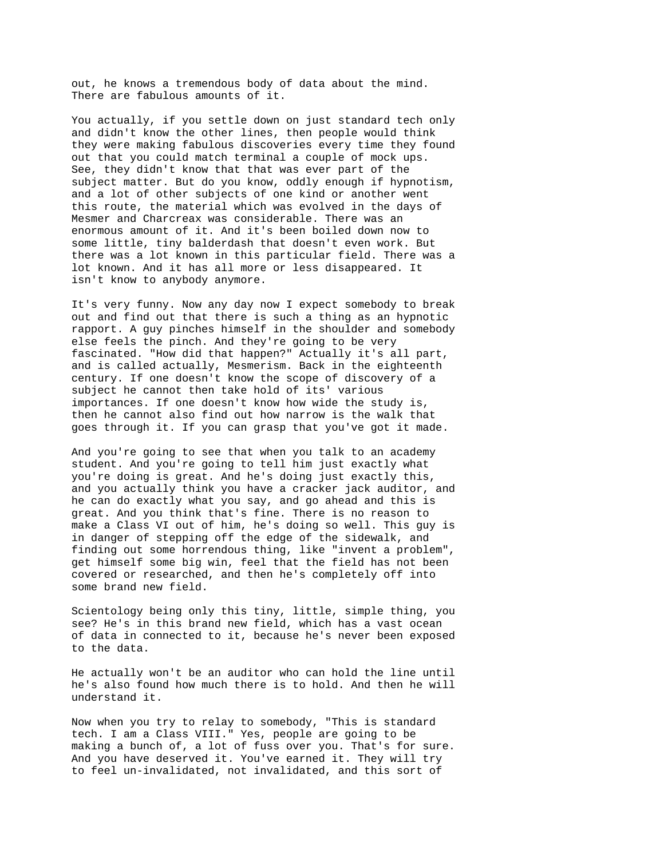out, he knows a tremendous body of data about the mind. There are fabulous amounts of it.

You actually, if you settle down on just standard tech only and didn't know the other lines, then people would think they were making fabulous discoveries every time they found out that you could match terminal a couple of mock ups. See, they didn't know that that was ever part of the subject matter. But do you know, oddly enough if hypnotism, and a lot of other subjects of one kind or another went this route, the material which was evolved in the days of Mesmer and Charcreax was considerable. There was an enormous amount of it. And it's been boiled down now to some little, tiny balderdash that doesn't even work. But there was a lot known in this particular field. There was a lot known. And it has all more or less disappeared. It isn't know to anybody anymore.

It's very funny. Now any day now I expect somebody to break out and find out that there is such a thing as an hypnotic rapport. A guy pinches himself in the shoulder and somebody else feels the pinch. And they're going to be very fascinated. "How did that happen?" Actually it's all part, and is called actually, Mesmerism. Back in the eighteenth century. If one doesn't know the scope of discovery of a subject he cannot then take hold of its' various importances. If one doesn't know how wide the study is, then he cannot also find out how narrow is the walk that goes through it. If you can grasp that you've got it made.

And you're going to see that when you talk to an academy student. And you're going to tell him just exactly what you're doing is great. And he's doing just exactly this, and you actually think you have a cracker jack auditor, and he can do exactly what you say, and go ahead and this is great. And you think that's fine. There is no reason to make a Class VI out of him, he's doing so well. This guy is in danger of stepping off the edge of the sidewalk, and finding out some horrendous thing, like "invent a problem", get himself some big win, feel that the field has not been covered or researched, and then he's completely off into some brand new field.

Scientology being only this tiny, little, simple thing, you see? He's in this brand new field, which has a vast ocean of data in connected to it, because he's never been exposed to the data.

He actually won't be an auditor who can hold the line until he's also found how much there is to hold. And then he will understand it.

Now when you try to relay to somebody, "This is standard tech. I am a Class VIII." Yes, people are going to be making a bunch of, a lot of fuss over you. That's for sure. And you have deserved it. You've earned it. They will try to feel un-invalidated, not invalidated, and this sort of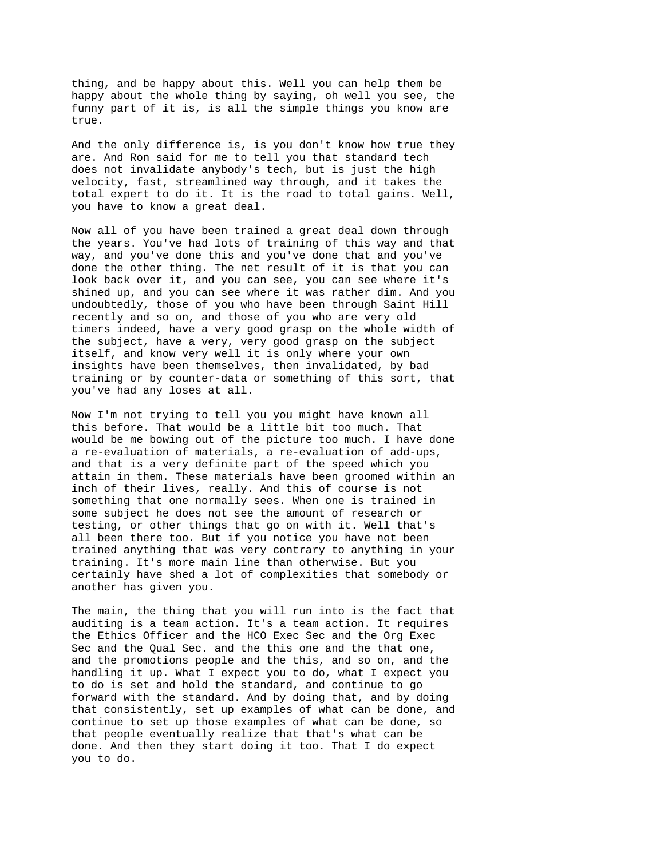thing, and be happy about this. Well you can help them be happy about the whole thing by saying, oh well you see, the funny part of it is, is all the simple things you know are true.

And the only difference is, is you don't know how true they are. And Ron said for me to tell you that standard tech does not invalidate anybody's tech, but is just the high velocity, fast, streamlined way through, and it takes the total expert to do it. It is the road to total gains. Well, you have to know a great deal.

Now all of you have been trained a great deal down through the years. You've had lots of training of this way and that way, and you've done this and you've done that and you've done the other thing. The net result of it is that you can look back over it, and you can see, you can see where it's shined up, and you can see where it was rather dim. And you undoubtedly, those of you who have been through Saint Hill recently and so on, and those of you who are very old timers indeed, have a very good grasp on the whole width of the subject, have a very, very good grasp on the subject itself, and know very well it is only where your own insights have been themselves, then invalidated, by bad training or by counter-data or something of this sort, that you've had any loses at all.

Now I'm not trying to tell you you might have known all this before. That would be a little bit too much. That would be me bowing out of the picture too much. I have done a re-evaluation of materials, a re-evaluation of add-ups, and that is a very definite part of the speed which you attain in them. These materials have been groomed within an inch of their lives, really. And this of course is not something that one normally sees. When one is trained in some subject he does not see the amount of research or testing, or other things that go on with it. Well that's all been there too. But if you notice you have not been trained anything that was very contrary to anything in your training. It's more main line than otherwise. But you certainly have shed a lot of complexities that somebody or another has given you.

The main, the thing that you will run into is the fact that auditing is a team action. It's a team action. It requires the Ethics Officer and the HCO Exec Sec and the Org Exec Sec and the Qual Sec. and the this one and the that one, and the promotions people and the this, and so on, and the handling it up. What I expect you to do, what I expect you to do is set and hold the standard, and continue to go forward with the standard. And by doing that, and by doing that consistently, set up examples of what can be done, and continue to set up those examples of what can be done, so that people eventually realize that that's what can be done. And then they start doing it too. That I do expect you to do.